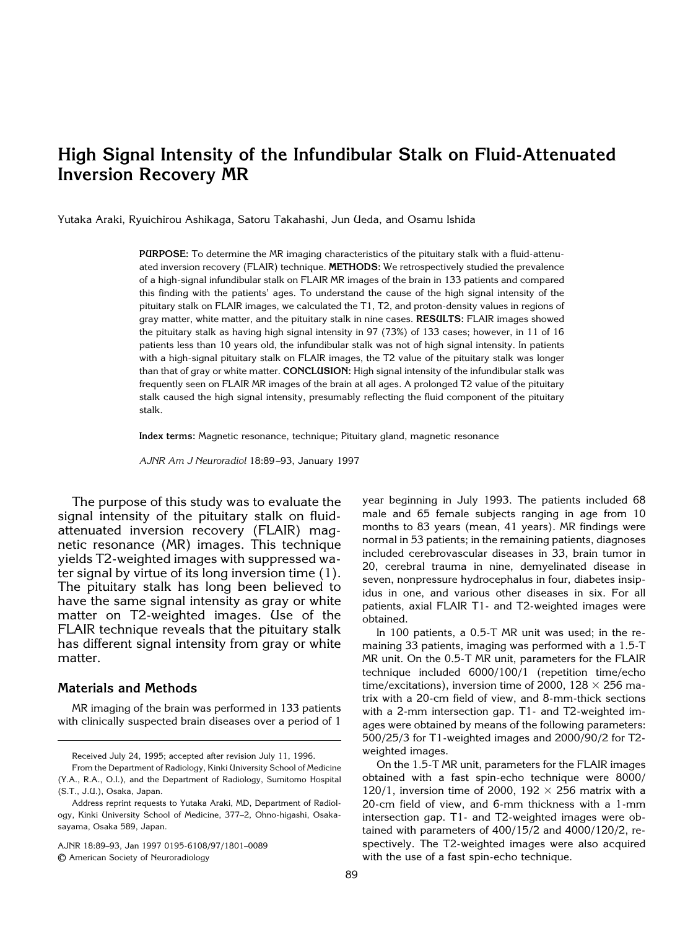# **High Signal Intensity of the Infundibular Stalk on Fluid-Attenuated Inversion Recovery MR**

Yutaka Araki, Ryuichirou Ashikaga, Satoru Takahashi, Jun Ueda, and Osamu Ishida

**PURPOSE:** To determine the MR imaging characteristics of the pituitary stalk with a fluid-attenuated inversion recovery (FLAIR) technique. **METHODS:** We retrospectively studied the prevalence of a high-signal infundibular stalk on FLAIR MR images of the brain in 133 patients and compared this finding with the patients' ages. To understand the cause of the high signal intensity of the pituitary stalk on FLAIR images, we calculated the T1, T2, and proton-density values in regions of gray matter, white matter, and the pituitary stalk in nine cases. **RESULTS:** FLAIR images showed the pituitary stalk as having high signal intensity in 97 (73%) of 133 cases; however, in 11 of 16 patients less than 10 years old, the infundibular stalk was not of high signal intensity. In patients with a high-signal pituitary stalk on FLAIR images, the T2 value of the pituitary stalk was longer than that of gray or white matter. **CONCLUSION:** High signal intensity of the infundibular stalk was frequently seen on FLAIR MR images of the brain at all ages. A prolonged T2 value of the pituitary stalk caused the high signal intensity, presumably reflecting the fluid component of the pituitary stalk.

**Index terms:** Magnetic resonance, technique; Pituitary gland, magnetic resonance

*AJNR Am J Neuroradiol* 18:89 –93, January 1997

The purpose of this study was to evaluate the signal intensity of the pituitary stalk on fluidattenuated inversion recovery (FLAIR) magnetic resonance (MR) images. This technique yields T2-weighted images with suppressed water signal by virtue of its long inversion time (1). The pituitary stalk has long been believed to have the same signal intensity as gray or white matter on T2-weighted images. Use of the FLAIR technique reveals that the pituitary stalk has different signal intensity from gray or white matter.

# **Materials and Methods**

MR imaging of the brain was performed in 133 patients with clinically suspected brain diseases over a period of 1

AJNR 18:89–93, Jan 1997 0195-6108/97/1801–0089

© American Society of Neuroradiology

year beginning in July 1993. The patients included 68 male and 65 female subjects ranging in age from 10 months to 83 years (mean, 41 years). MR findings were normal in 53 patients; in the remaining patients, diagnoses included cerebrovascular diseases in 33, brain tumor in 20, cerebral trauma in nine, demyelinated disease in seven, nonpressure hydrocephalus in four, diabetes insipidus in one, and various other diseases in six. For all patients, axial FLAIR T1- and T2-weighted images were obtained.

In 100 patients, a 0.5-T MR unit was used; in the remaining 33 patients, imaging was performed with a 1.5-T MR unit. On the 0.5-T MR unit, parameters for the FLAIR technique included 6000/100/1 (repetition time/echo time/excitations), inversion time of 2000, 128  $\times$  256 matrix with a 20-cm field of view, and 8-mm-thick sections with a 2-mm intersection gap. T1- and T2-weighted images were obtained by means of the following parameters: 500/25/3 for T1-weighted images and 2000/90/2 for T2 weighted images.

On the 1.5-T MR unit, parameters for the FLAIR images obtained with a fast spin-echo technique were 8000/ 120/1, inversion time of 2000, 192  $\times$  256 matrix with a 20-cm field of view, and 6-mm thickness with a 1-mm intersection gap. T1- and T2-weighted images were obtained with parameters of 400/15/2 and 4000/120/2, respectively. The T2-weighted images were also acquired with the use of a fast spin-echo technique.

Received July 24, 1995; accepted after revision July 11, 1996.

From the Department of Radiology, Kinki University School of Medicine (Y.A., R.A., O.I.), and the Department of Radiology, Sumitomo Hospital (S.T., J.U.), Osaka, Japan.

Address reprint requests to Yutaka Araki, MD, Department of Radiology, Kinki University School of Medicine, 377–2, Ohno-higashi, Osakasayama, Osaka 589, Japan.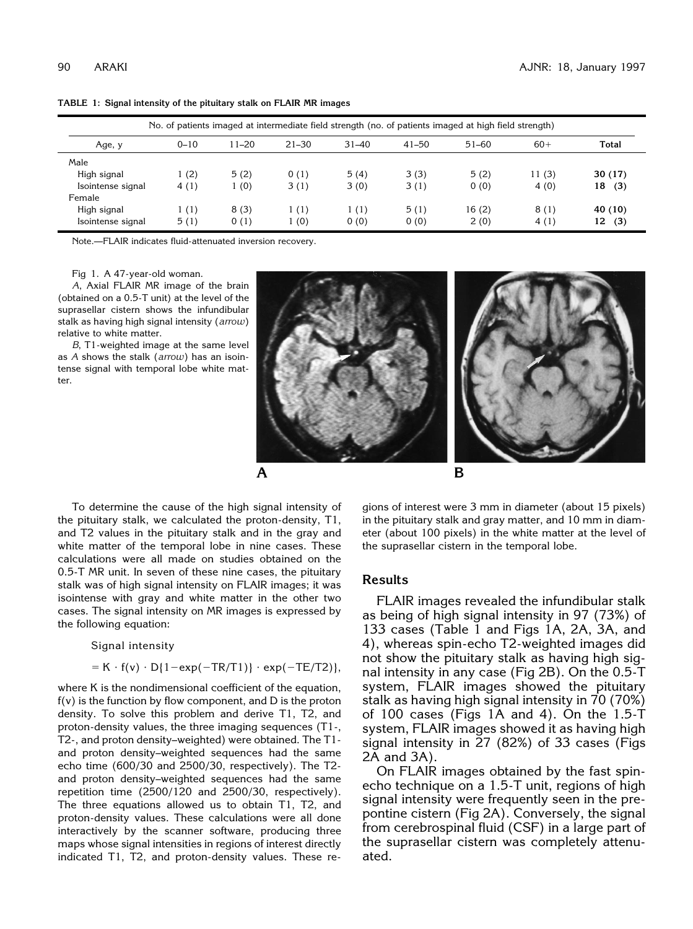| No. of patients imaged at intermediate field strength (no. of patients imaged at high field strength) |          |           |           |           |           |           |       |           |
|-------------------------------------------------------------------------------------------------------|----------|-----------|-----------|-----------|-----------|-----------|-------|-----------|
| Age, y                                                                                                | $0 - 10$ | $11 - 20$ | $21 - 30$ | $31 - 40$ | $41 - 50$ | $51 - 60$ | $60+$ | Total     |
| Male                                                                                                  |          |           |           |           |           |           |       |           |
| High signal                                                                                           | 1(2)     | 5(2)      | 0(1)      | 5(4)      | 3(3)      | 5(2)      | 11(3) | 30(17)    |
| Isointense signal                                                                                     | 4(1)     | 1(0)      | 3(1)      | 3(0)      | 3(1)      | 0(0)      | 4(0)  | 18<br>(3) |
| Female                                                                                                |          |           |           |           |           |           |       |           |
| High signal                                                                                           | 1(1)     | 8(3)      | 1(1)      | 1(1)      | 5(1)      | 16(2)     | 8(1)  | 40 (10)   |
| Isointense signal                                                                                     | 5(1)     | 0(1)      | (0)       | 0(0)      | 0(0)      | 2(0)      | 4(1)  | 12<br>(3) |

**TABLE 1: Signal intensity of the pituitary stalk on FLAIR MR images**

Note.—FLAIR indicates fluid-attenuated inversion recovery.

Fig 1. A 47-year-old woman.

*A*, Axial FLAIR MR image of the brain (obtained on a 0.5-T unit) at the level of the suprasellar cistern shows the infundibular stalk as having high signal intensity (*arrow*) relative to white matter.

*B*, T1-weighted image at the same level as *A* shows the stalk (*arrow*) has an isointense signal with temporal lobe white matter.



To determine the cause of the high signal intensity of the pituitary stalk, we calculated the proton-density, T1, and T2 values in the pituitary stalk and in the gray and white matter of the temporal lobe in nine cases. These calculations were all made on studies obtained on the 0.5-T MR unit. In seven of these nine cases, the pituitary stalk was of high signal intensity on FLAIR images; it was isointense with gray and white matter in the other two cases. The signal intensity on MR images is expressed by the following equation:

#### Signal intensity

$$
= K \cdot f(v) \cdot D\{1-exp(-TR/T1)\} \cdot exp(-TE/T2)\},
$$

where K is the nondimensional coefficient of the equation,  $f(v)$  is the function by flow component, and  $D$  is the proton density. To solve this problem and derive T1, T2, and proton-density values, the three imaging sequences (T1-, T2-, and proton density–weighted) were obtained. The T1 and proton density–weighted sequences had the same echo time (600/30 and 2500/30, respectively). The T2 and proton density–weighted sequences had the same repetition time (2500/120 and 2500/30, respectively). The three equations allowed us to obtain T1, T2, and proton-density values. These calculations were all done interactively by the scanner software, producing three maps whose signal intensities in regions of interest directly indicated T1, T2, and proton-density values. These re-

gions of interest were 3 mm in diameter (about 15 pixels) in the pituitary stalk and gray matter, and 10 mm in diameter (about 100 pixels) in the white matter at the level of the suprasellar cistern in the temporal lobe.

#### **Results**

FLAIR images revealed the infundibular stalk as being of high signal intensity in 97 (73%) of 133 cases (Table 1 and Figs 1A, 2A, 3A, and 4), whereas spin-echo T2-weighted images did not show the pituitary stalk as having high signal intensity in any case (Fig 2B). On the 0.5-T system, FLAIR images showed the pituitary stalk as having high signal intensity in 70 (70%) of 100 cases (Figs 1A and 4). On the 1.5-T system, FLAIR images showed it as having high signal intensity in 27 (82%) of 33 cases (Figs 2A and 3A).

On FLAIR images obtained by the fast spinecho technique on a 1.5-T unit, regions of high signal intensity were frequently seen in the prepontine cistern (Fig 2A). Conversely, the signal from cerebrospinal fluid (CSF) in a large part of the suprasellar cistern was completely attenuated.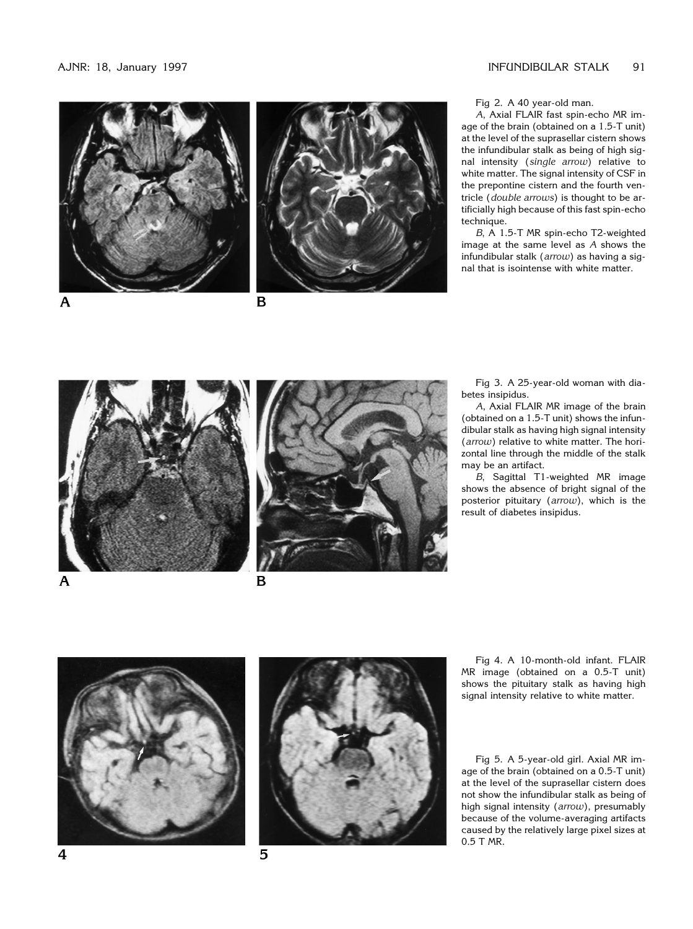



B

Fig 2. A 40 year-old man.

*A*, Axial FLAIR fast spin-echo MR image of the brain (obtained on a 1.5-T unit) at the level of the suprasellar cistern shows the infundibular stalk as being of high signal intensity (*single arrow*) relative to white matter. The signal intensity of CSF in the prepontine cistern and the fourth ventricle (*double arrows*) is thought to be artificially high because of this fast spin-echo technique.

*B*, A 1.5-T MR spin-echo T2-weighted image at the same level as *A* shows the infundibular stalk (*arrow*) as having a signal that is isointense with white matter.



Fig 3. A 25-year-old woman with diabetes insipidus.

*A*, Axial FLAIR MR image of the brain (obtained on a 1.5-T unit) shows the infundibular stalk as having high signal intensity (*arrow*) relative to white matter. The horizontal line through the middle of the stalk may be an artifact.

*B*, Sagittal T1-weighted MR image shows the absence of bright signal of the posterior pituitary (*arrow*), which is the result of diabetes insipidus.



5

Fig 4. A 10-month-old infant. FLAIR MR image (obtained on a 0.5-T unit) shows the pituitary stalk as having high signal intensity relative to white matter.

Fig 5. A 5-year-old girl. Axial MR image of the brain (obtained on a 0.5-T unit) at the level of the suprasellar cistern does not show the infundibular stalk as being of high signal intensity (*arrow*), presumably because of the volume-averaging artifacts caused by the relatively large pixel sizes at 0.5 T MR.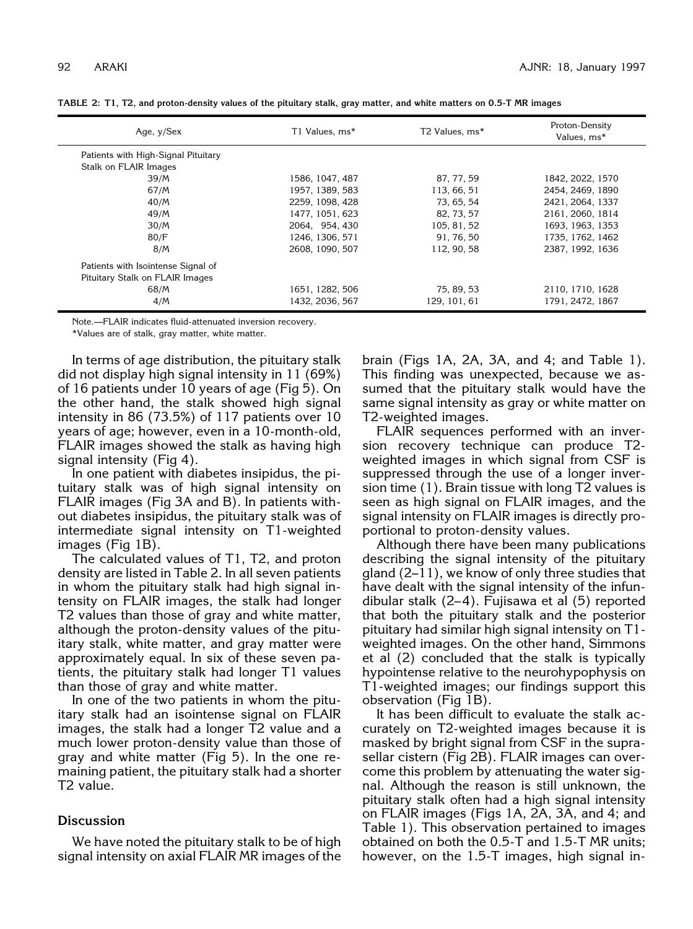| Age, y/Sex                          | T1 Values, ms*  | T2 Values, ms* | Proton-Density<br>Values, ms* |  |
|-------------------------------------|-----------------|----------------|-------------------------------|--|
| Patients with High-Signal Pituitary |                 |                |                               |  |
| Stalk on FLAIR Images               |                 |                |                               |  |
| 39/M                                | 1586, 1047, 487 | 87, 77, 59     | 1842, 2022, 1570              |  |
| 67/M                                | 1957, 1389, 583 | 113, 66, 51    | 2454, 2469, 1890              |  |
| 40/M                                | 2259, 1098, 428 | 73, 65, 54     | 2421, 2064, 1337              |  |
| 49/M                                | 1477, 1051, 623 | 82, 73, 57     | 2161, 2060, 1814              |  |
| 30/M                                | 2064, 954, 430  | 105, 81, 52    | 1693, 1963, 1353              |  |
| 80/F                                | 1246, 1306, 571 | 91, 76, 50     | 1735, 1762, 1462              |  |
| 8/M                                 | 2608.1090.507   | 112, 90, 58    | 2387, 1992, 1636              |  |
| Patients with Isointense Signal of  |                 |                |                               |  |
| Pituitary Stalk on FLAIR Images     |                 |                |                               |  |
| 68/M                                | 1651, 1282, 506 | 75, 89, 53     | 2110, 1710, 1628              |  |
| 4/M                                 | 1432, 2036, 567 | 129, 101, 61   | 1791, 2472, 1867              |  |

**TABLE 2: T1, T2, and proton-density values of the pituitary stalk, gray matter, and white matters on 0.5-T MR images**

Note.—FLAIR indicates fluid-attenuated inversion recovery.

\*Values are of stalk, gray matter, white matter.

In terms of age distribution, the pituitary stalk did not display high signal intensity in 11 (69%) of 16 patients under 10 years of age (Fig 5). On the other hand, the stalk showed high signal intensity in 86 (73.5%) of 117 patients over 10 years of age; however, even in a 10-month-old, FLAIR images showed the stalk as having high signal intensity (Fig 4).

In one patient with diabetes insipidus, the pituitary stalk was of high signal intensity on FLAIR images (Fig 3A and B). In patients without diabetes insipidus, the pituitary stalk was of intermediate signal intensity on T1-weighted images (Fig 1B).

The calculated values of T1, T2, and proton density are listed in Table 2. In all seven patients in whom the pituitary stalk had high signal intensity on FLAIR images, the stalk had longer T2 values than those of gray and white matter, although the proton-density values of the pituitary stalk, white matter, and gray matter were approximately equal. In six of these seven patients, the pituitary stalk had longer T1 values than those of gray and white matter.

In one of the two patients in whom the pituitary stalk had an isointense signal on FLAIR images, the stalk had a longer T2 value and a much lower proton-density value than those of gray and white matter (Fig 5). In the one remaining patient, the pituitary stalk had a shorter T2 value.

# **Discussion**

We have noted the pituitary stalk to be of high signal intensity on axial FLAIR MR images of the

brain (Figs 1A, 2A, 3A, and 4; and Table 1). This finding was unexpected, because we assumed that the pituitary stalk would have the same signal intensity as gray or white matter on T2-weighted images.

FLAIR sequences performed with an inversion recovery technique can produce T2 weighted images in which signal from CSF is suppressed through the use of a longer inversion time (1). Brain tissue with long T2 values is seen as high signal on FLAIR images, and the signal intensity on FLAIR images is directly proportional to proton-density values.

Although there have been many publications describing the signal intensity of the pituitary gland (2–11), we know of only three studies that have dealt with the signal intensity of the infundibular stalk (2– 4). Fujisawa et al (5) reported that both the pituitary stalk and the posterior pituitary had similar high signal intensity on T1 weighted images. On the other hand, Simmons et al (2) concluded that the stalk is typically hypointense relative to the neurohypophysis on T1-weighted images; our findings support this observation (Fig 1B).

It has been difficult to evaluate the stalk accurately on T2-weighted images because it is masked by bright signal from CSF in the suprasellar cistern (Fig 2B). FLAIR images can overcome this problem by attenuating the water signal. Although the reason is still unknown, the pituitary stalk often had a high signal intensity on FLAIR images (Figs 1A, 2A, 3A, and 4; and Table 1). This observation pertained to images obtained on both the 0.5-T and 1.5-T MR units; however, on the 1.5-T images, high signal in